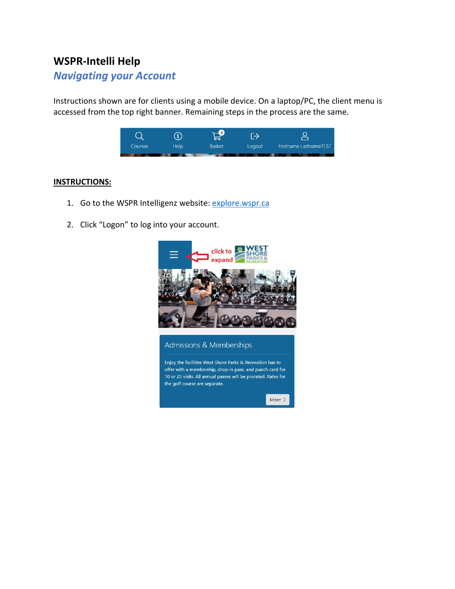## **WSPR-Intelli Help**

## *Navigating your Account*

Instructions shown are for clients using a mobile device. On a laptop/PC, the client menu is accessed from the top right banner. Remaining steps in the process are the same.



## **INSTRUCTIONS:**

- 1. Go to the WSPR Intelligenz website: [explore.wspr.ca](https://explore.wspr.ca/)
- 2. Click "Logon" to log into your account.

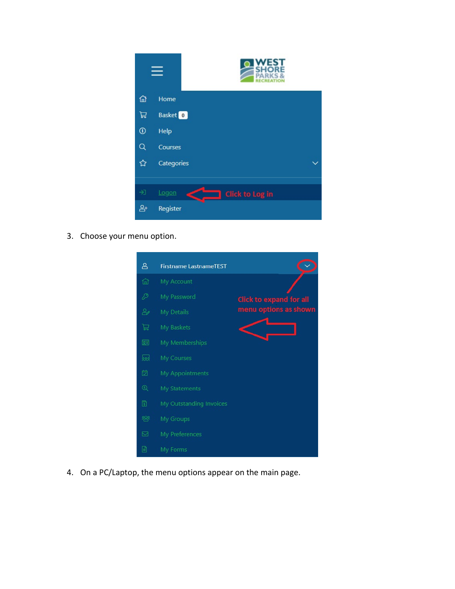

3. Choose your menu option.



4. On a PC/Laptop, the menu options appear on the main page.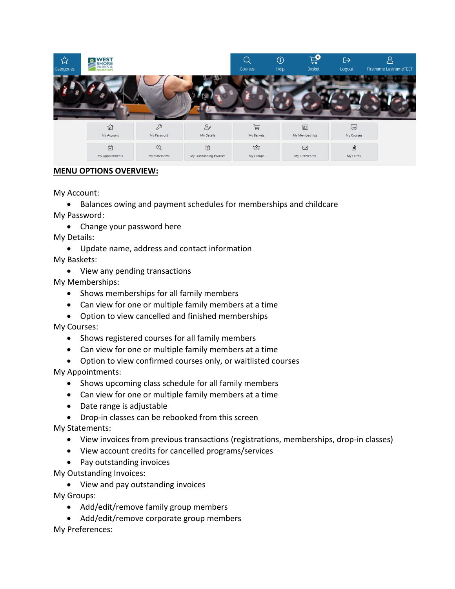![](_page_2_Picture_0.jpeg)

## **MENU OPTIONS OVERVIEW:**

My Account:

• Balances owing and payment schedules for memberships and childcare My Password:

• Change your password here

My Details:

• Update name, address and contact information

My Baskets:

• View any pending transactions

My Memberships:

- Shows memberships for all family members
- Can view for one or multiple family members at a time
- Option to view cancelled and finished memberships

My Courses:

- Shows registered courses for all family members
- Can view for one or multiple family members at a time
- Option to view confirmed courses only, or waitlisted courses

My Appointments:

- Shows upcoming class schedule for all family members
- Can view for one or multiple family members at a time
- Date range is adjustable
- Drop-in classes can be rebooked from this screen

My Statements:

- View invoices from previous transactions (registrations, memberships, drop-in classes)
- View account credits for cancelled programs/services
- Pay outstanding invoices

My Outstanding Invoices:

• View and pay outstanding invoices

My Groups:

- Add/edit/remove family group members
- Add/edit/remove corporate group members My Preferences: